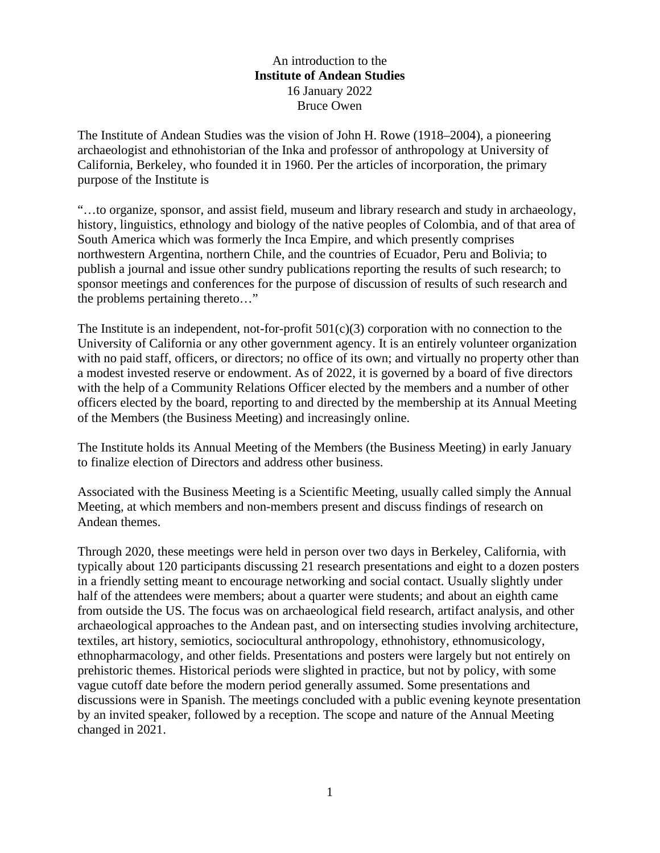## An introduction to the **Institute of Andean Studies**  16 January 2022 Bruce Owen

The Institute of Andean Studies was the vision of John H. Rowe (1918–2004), a pioneering archaeologist and ethnohistorian of the Inka and professor of anthropology at University of California, Berkeley, who founded it in 1960. Per the articles of incorporation, the primary purpose of the Institute is

"…to organize, sponsor, and assist field, museum and library research and study in archaeology, history, linguistics, ethnology and biology of the native peoples of Colombia, and of that area of South America which was formerly the Inca Empire, and which presently comprises northwestern Argentina, northern Chile, and the countries of Ecuador, Peru and Bolivia; to publish a journal and issue other sundry publications reporting the results of such research; to sponsor meetings and conferences for the purpose of discussion of results of such research and the problems pertaining thereto…"

The Institute is an independent, not-for-profit  $501(c)(3)$  corporation with no connection to the University of California or any other government agency. It is an entirely volunteer organization with no paid staff, officers, or directors; no office of its own; and virtually no property other than a modest invested reserve or endowment. As of 2022, it is governed by a board of five directors with the help of a Community Relations Officer elected by the members and a number of other officers elected by the board, reporting to and directed by the membership at its Annual Meeting of the Members (the Business Meeting) and increasingly online.

The Institute holds its Annual Meeting of the Members (the Business Meeting) in early January to finalize election of Directors and address other business.

Associated with the Business Meeting is a Scientific Meeting, usually called simply the Annual Meeting, at which members and non-members present and discuss findings of research on Andean themes.

Through 2020, these meetings were held in person over two days in Berkeley, California, with typically about 120 participants discussing 21 research presentations and eight to a dozen posters in a friendly setting meant to encourage networking and social contact. Usually slightly under half of the attendees were members; about a quarter were students; and about an eighth came from outside the US. The focus was on archaeological field research, artifact analysis, and other archaeological approaches to the Andean past, and on intersecting studies involving architecture, textiles, art history, semiotics, sociocultural anthropology, ethnohistory, ethnomusicology, ethnopharmacology, and other fields. Presentations and posters were largely but not entirely on prehistoric themes. Historical periods were slighted in practice, but not by policy, with some vague cutoff date before the modern period generally assumed. Some presentations and discussions were in Spanish. The meetings concluded with a public evening keynote presentation by an invited speaker, followed by a reception. The scope and nature of the Annual Meeting changed in 2021.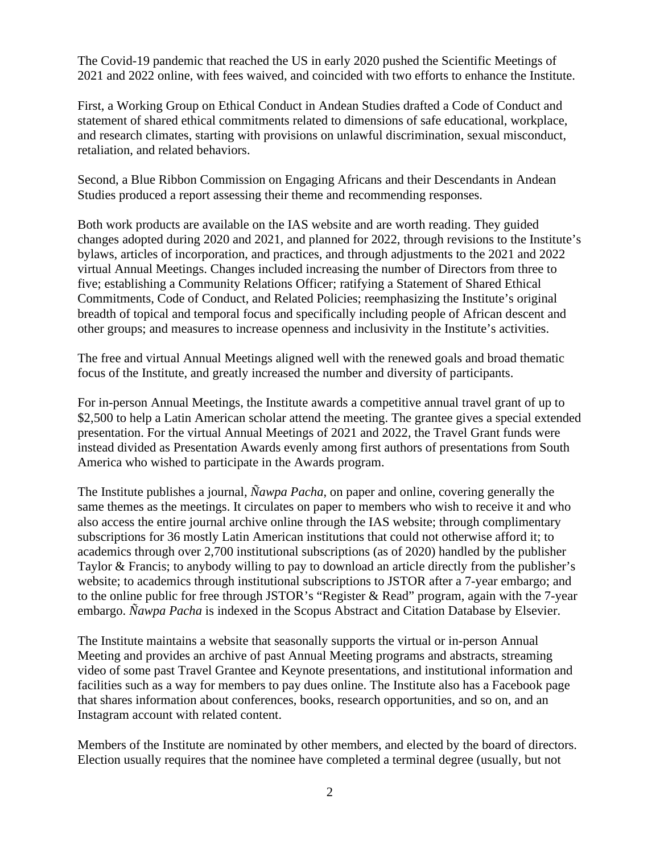The Covid-19 pandemic that reached the US in early 2020 pushed the Scientific Meetings of 2021 and 2022 online, with fees waived, and coincided with two efforts to enhance the Institute.

First, a Working Group on Ethical Conduct in Andean Studies drafted a Code of Conduct and statement of shared ethical commitments related to dimensions of safe educational, workplace, and research climates, starting with provisions on unlawful discrimination, sexual misconduct, retaliation, and related behaviors.

Second, a Blue Ribbon Commission on Engaging Africans and their Descendants in Andean Studies produced a report assessing their theme and recommending responses.

Both work products are available on the IAS website and are worth reading. They guided changes adopted during 2020 and 2021, and planned for 2022, through revisions to the Institute's bylaws, articles of incorporation, and practices, and through adjustments to the 2021 and 2022 virtual Annual Meetings. Changes included increasing the number of Directors from three to five; establishing a Community Relations Officer; ratifying a Statement of Shared Ethical Commitments, Code of Conduct, and Related Policies; reemphasizing the Institute's original breadth of topical and temporal focus and specifically including people of African descent and other groups; and measures to increase openness and inclusivity in the Institute's activities.

The free and virtual Annual Meetings aligned well with the renewed goals and broad thematic focus of the Institute, and greatly increased the number and diversity of participants.

For in-person Annual Meetings, the Institute awards a competitive annual travel grant of up to \$2,500 to help a Latin American scholar attend the meeting. The grantee gives a special extended presentation. For the virtual Annual Meetings of 2021 and 2022, the Travel Grant funds were instead divided as Presentation Awards evenly among first authors of presentations from South America who wished to participate in the Awards program.

The Institute publishes a journal, *Ñawpa Pacha*, on paper and online, covering generally the same themes as the meetings. It circulates on paper to members who wish to receive it and who also access the entire journal archive online through the IAS website; through complimentary subscriptions for 36 mostly Latin American institutions that could not otherwise afford it; to academics through over 2,700 institutional subscriptions (as of 2020) handled by the publisher Taylor & Francis; to anybody willing to pay to download an article directly from the publisher's website; to academics through institutional subscriptions to JSTOR after a 7-year embargo; and to the online public for free through JSTOR's "Register & Read" program, again with the 7-year embargo. *Ñawpa Pacha* is indexed in the Scopus Abstract and Citation Database by Elsevier.

The Institute maintains a website that seasonally supports the virtual or in-person Annual Meeting and provides an archive of past Annual Meeting programs and abstracts, streaming video of some past Travel Grantee and Keynote presentations, and institutional information and facilities such as a way for members to pay dues online. The Institute also has a Facebook page that shares information about conferences, books, research opportunities, and so on, and an Instagram account with related content.

Members of the Institute are nominated by other members, and elected by the board of directors. Election usually requires that the nominee have completed a terminal degree (usually, but not